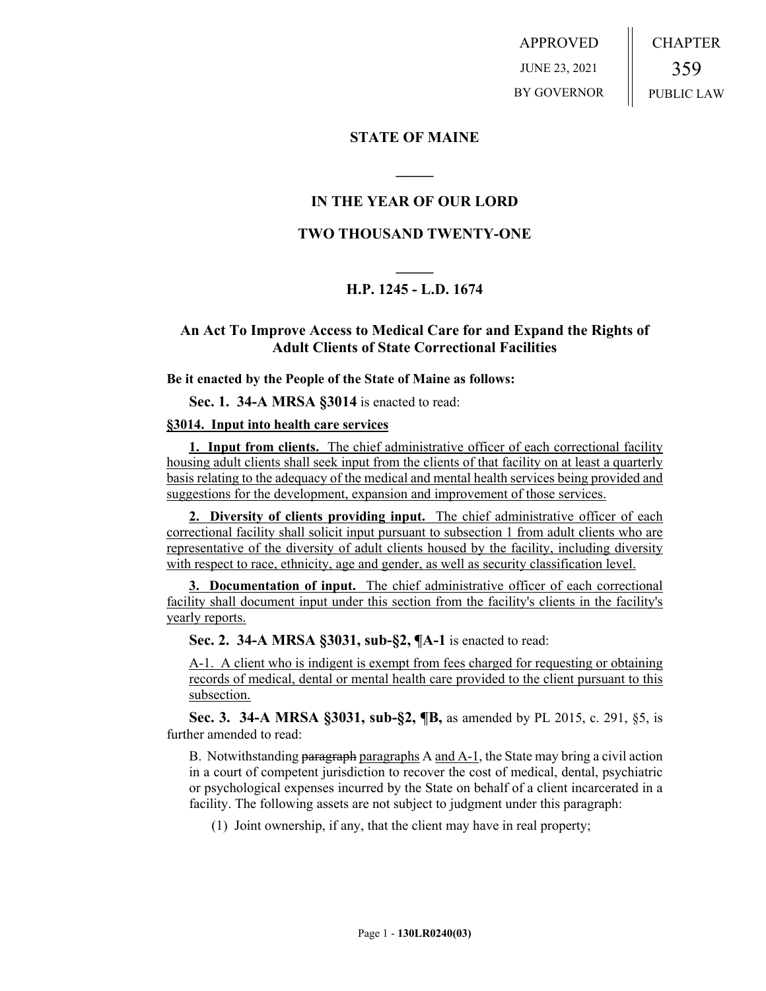APPROVED JUNE 23, 2021 BY GOVERNOR CHAPTER 359 PUBLIC LAW

## **STATE OF MAINE**

## **IN THE YEAR OF OUR LORD**

**\_\_\_\_\_**

## **TWO THOUSAND TWENTY-ONE**

# **\_\_\_\_\_ H.P. 1245 - L.D. 1674**

## **An Act To Improve Access to Medical Care for and Expand the Rights of Adult Clients of State Correctional Facilities**

#### **Be it enacted by the People of the State of Maine as follows:**

**Sec. 1. 34-A MRSA §3014** is enacted to read:

### **§3014. Input into health care services**

**1. Input from clients.** The chief administrative officer of each correctional facility housing adult clients shall seek input from the clients of that facility on at least a quarterly basis relating to the adequacy of the medical and mental health services being provided and suggestions for the development, expansion and improvement of those services.

**2. Diversity of clients providing input.** The chief administrative officer of each correctional facility shall solicit input pursuant to subsection 1 from adult clients who are representative of the diversity of adult clients housed by the facility, including diversity with respect to race, ethnicity, age and gender, as well as security classification level.

**3. Documentation of input.** The chief administrative officer of each correctional facility shall document input under this section from the facility's clients in the facility's yearly reports.

**Sec. 2. 34-A MRSA §3031, sub-§2, ¶A-1** is enacted to read:

A-1. A client who is indigent is exempt from fees charged for requesting or obtaining records of medical, dental or mental health care provided to the client pursuant to this subsection.

**Sec. 3. 34-A MRSA §3031, sub-§2, ¶B,** as amended by PL 2015, c. 291, §5, is further amended to read:

B. Notwithstanding paragraph paragraphs A and A-1, the State may bring a civil action in a court of competent jurisdiction to recover the cost of medical, dental, psychiatric or psychological expenses incurred by the State on behalf of a client incarcerated in a facility. The following assets are not subject to judgment under this paragraph:

(1) Joint ownership, if any, that the client may have in real property;